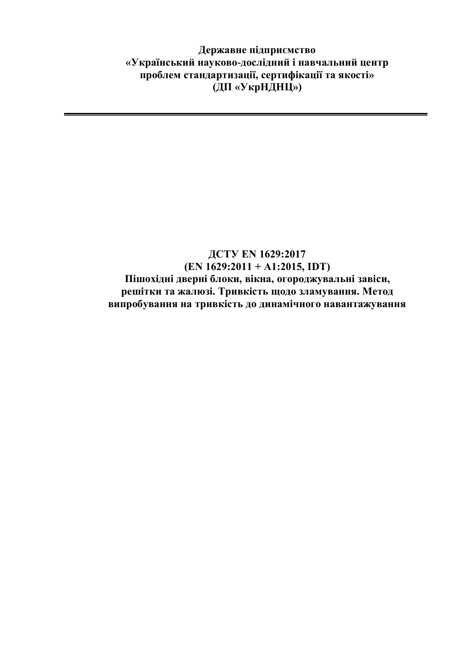**Державне підприємство «Український науково-дослідний і навчальний центр проблем стандартизації, сертифікації та якості» (ДП «УкрНДНЦ»)**

## **ДСТУ EN 1629:2017 (EN 1629:2011 + А1:2015, IDT) Пішохідні дверні блоки, вікна, огороджувальні завіси, решітки та жалюзі. Тривкість щодо зламування. Метод випробування на тривкість до динамічного навантажування**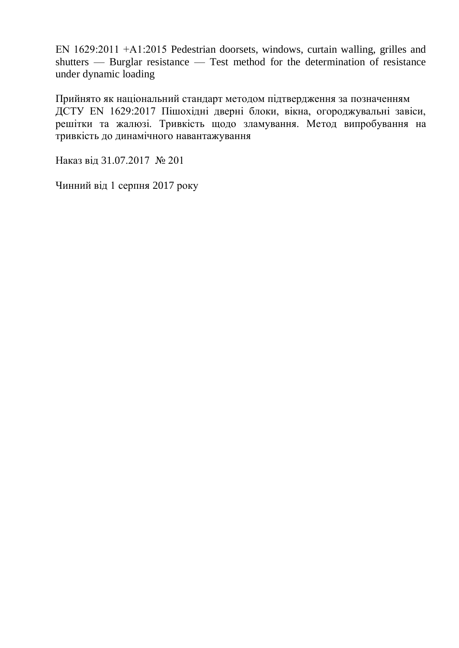EN 1629:2011 +А1:2015 Pedestrian doorsets, windows, curtain walling, grilles and shutters — Burglar resistance — Test method for the determination of resistance under dynamic loading

Прийнято як національний стандарт методом підтвердження за позначенням ДСТУ EN 1629:2017 Пішохідні дверні блоки, вікна, огороджувальні завіси, решітки та жалюзі. Тривкість щодо зламування. Метод випробування на тривкість до динамічного навантажування

Наказ від 31.07.2017 № 201

Чинний від 1 серпня 2017 року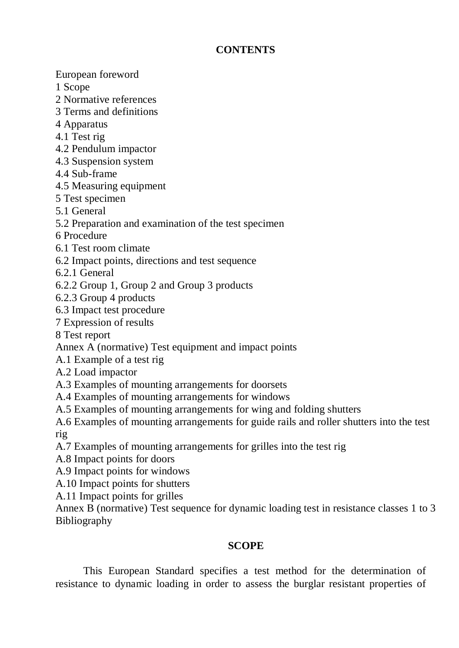## **CONTENTS**

European foreword

- 1 Scope
- 2 Normative references
- 3 Terms and definitions
- 4 Apparatus
- 4.1 Test rig
- 4.2 Pendulum impactor
- 4.3 Suspension system
- 4.4 Sub-frame
- 4.5 Measuring equipment
- 5 Test specimen
- 5.1 General
- 5.2 Preparation and examination of the test specimen
- 6 Procedure
- 6.1 Test room climate
- 6.2 Impact points, directions and test sequence
- 6.2.1 General
- 6.2.2 Group 1, Group 2 and Group 3 products
- 6.2.3 Group 4 products
- 6.3 Impact test procedure
- 7 Expression of results
- 8 Test report
- Annex A (normative) Test equipment and impact points
- A.1 Example of a test rig
- A.2 Load impactor
- A.3 Examples of mounting arrangements for doorsets
- A.4 Examples of mounting arrangements for windows
- A.5 Examples of mounting arrangements for wing and folding shutters

A.6 Examples of mounting arrangements for guide rails and roller shutters into the test rig

- A.7 Examples of mounting arrangements for grilles into the test rig
- A.8 Impact points for doors
- A.9 Impact points for windows
- A.10 Impact points for shutters
- A.11 Impact points for grilles

Annex B (normative) Test sequence for dynamic loading test in resistance classes 1 to 3 Bibliography

## **SCOPE**

This European Standard specifies a test method for the determination of resistance to dynamic loading in order to assess the burglar resistant properties of